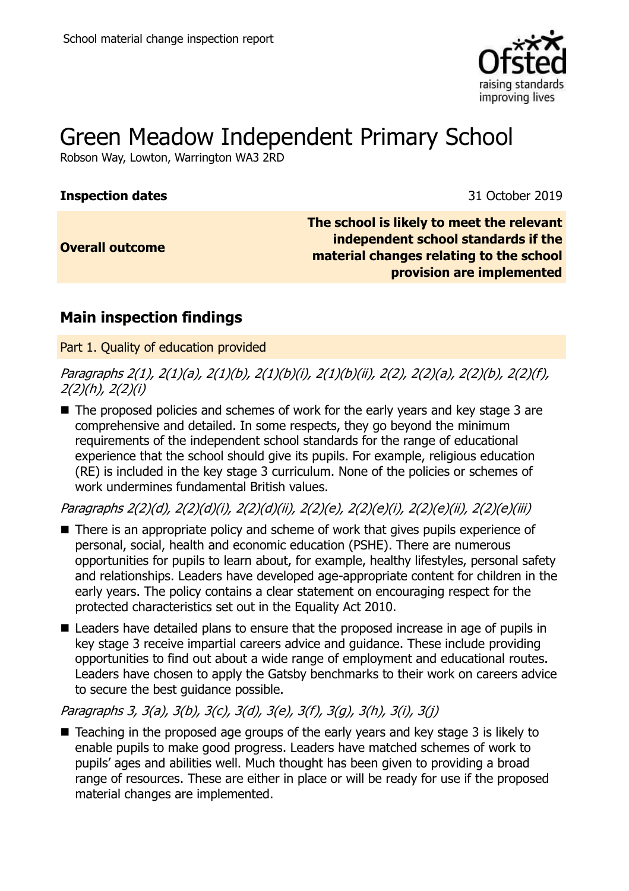

# Green Meadow Independent Primary School

Robson Way, Lowton, Warrington WA3 2RD

#### **Inspection dates** 31 October 2019

**Overall outcome**

**The school is likely to meet the relevant independent school standards if the material changes relating to the school provision are implemented**

# **Main inspection findings**

Part 1. Quality of education provided

Paragraphs 2(1), 2(1)(a), 2(1)(b), 2(1)(b)(i), 2(1)(b)(ii), 2(2), 2(2)(a), 2(2)(b), 2(2)(f), 2(2)(h), 2(2)(i)

■ The proposed policies and schemes of work for the early years and key stage 3 are comprehensive and detailed. In some respects, they go beyond the minimum requirements of the independent school standards for the range of educational experience that the school should give its pupils. For example, religious education (RE) is included in the key stage 3 curriculum. None of the policies or schemes of work undermines fundamental British values.

Paragraphs 2(2)(d), 2(2)(d)(i), 2(2)(d)(ii), 2(2)(e), 2(2)(e)(i), 2(2)(e)(ii), 2(2)(e)(iii)

- There is an appropriate policy and scheme of work that gives pupils experience of personal, social, health and economic education (PSHE). There are numerous opportunities for pupils to learn about, for example, healthy lifestyles, personal safety and relationships. Leaders have developed age-appropriate content for children in the early years. The policy contains a clear statement on encouraging respect for the protected characteristics set out in the Equality Act 2010.
- Leaders have detailed plans to ensure that the proposed increase in age of pupils in key stage 3 receive impartial careers advice and guidance. These include providing opportunities to find out about a wide range of employment and educational routes. Leaders have chosen to apply the Gatsby benchmarks to their work on careers advice to secure the best guidance possible.

Paragraphs 3, 3(a), 3(b), 3(c), 3(d), 3(e), 3(f), 3(g), 3(h), 3(i), 3(j)

■ Teaching in the proposed age groups of the early years and key stage 3 is likely to enable pupils to make good progress. Leaders have matched schemes of work to pupils' ages and abilities well. Much thought has been given to providing a broad range of resources. These are either in place or will be ready for use if the proposed material changes are implemented.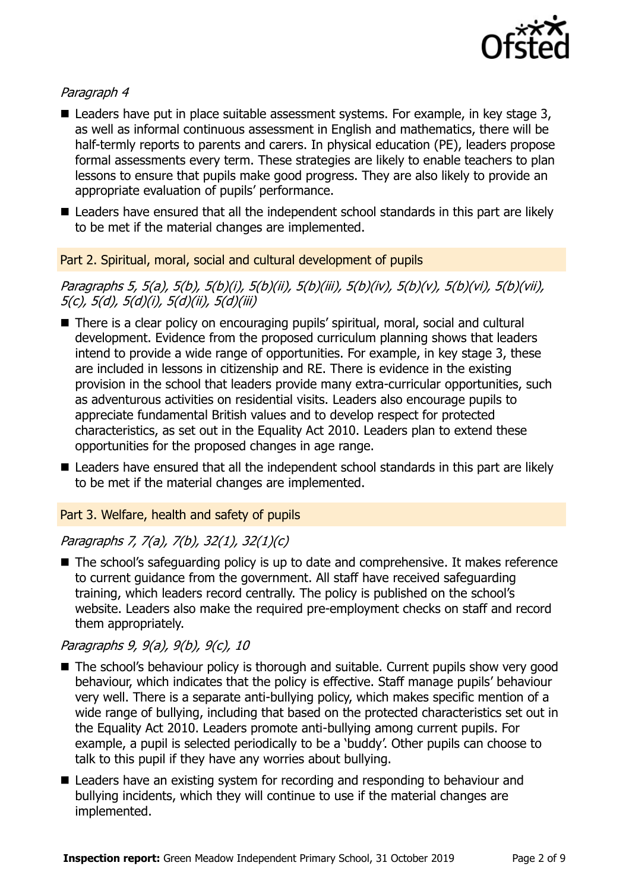

## Paragraph 4

- Leaders have put in place suitable assessment systems. For example, in key stage 3, as well as informal continuous assessment in English and mathematics, there will be half-termly reports to parents and carers. In physical education (PE), leaders propose formal assessments every term. These strategies are likely to enable teachers to plan lessons to ensure that pupils make good progress. They are also likely to provide an appropriate evaluation of pupils' performance.
- Leaders have ensured that all the independent school standards in this part are likely to be met if the material changes are implemented.

#### Part 2. Spiritual, moral, social and cultural development of pupils

Paragraphs 5, 5(a), 5(b), 5(b)(i), 5(b)(ii), 5(b)(iii), 5(b)(iv), 5(b)(v), 5(b)(vi), 5(b)(vii), 5(c), 5(d), 5(d)(i), 5(d)(ii), 5(d)(iii)

- There is a clear policy on encouraging pupils' spiritual, moral, social and cultural development. Evidence from the proposed curriculum planning shows that leaders intend to provide a wide range of opportunities. For example, in key stage 3, these are included in lessons in citizenship and RE. There is evidence in the existing provision in the school that leaders provide many extra-curricular opportunities, such as adventurous activities on residential visits. Leaders also encourage pupils to appreciate fundamental British values and to develop respect for protected characteristics, as set out in the Equality Act 2010. Leaders plan to extend these opportunities for the proposed changes in age range.
- Leaders have ensured that all the independent school standards in this part are likely to be met if the material changes are implemented.

#### Part 3. Welfare, health and safety of pupils

# Paragraphs 7, 7(a), 7(b), 32(1), 32(1)(c)

■ The school's safeguarding policy is up to date and comprehensive. It makes reference to current guidance from the government. All staff have received safeguarding training, which leaders record centrally. The policy is published on the school's website. Leaders also make the required pre-employment checks on staff and record them appropriately.

### Paragraphs 9, 9(a), 9(b), 9(c), 10

- The school's behaviour policy is thorough and suitable. Current pupils show very good behaviour, which indicates that the policy is effective. Staff manage pupils' behaviour very well. There is a separate anti-bullying policy, which makes specific mention of a wide range of bullying, including that based on the protected characteristics set out in the Equality Act 2010. Leaders promote anti-bullying among current pupils. For example, a pupil is selected periodically to be a 'buddy'. Other pupils can choose to talk to this pupil if they have any worries about bullying.
- Leaders have an existing system for recording and responding to behaviour and bullying incidents, which they will continue to use if the material changes are implemented.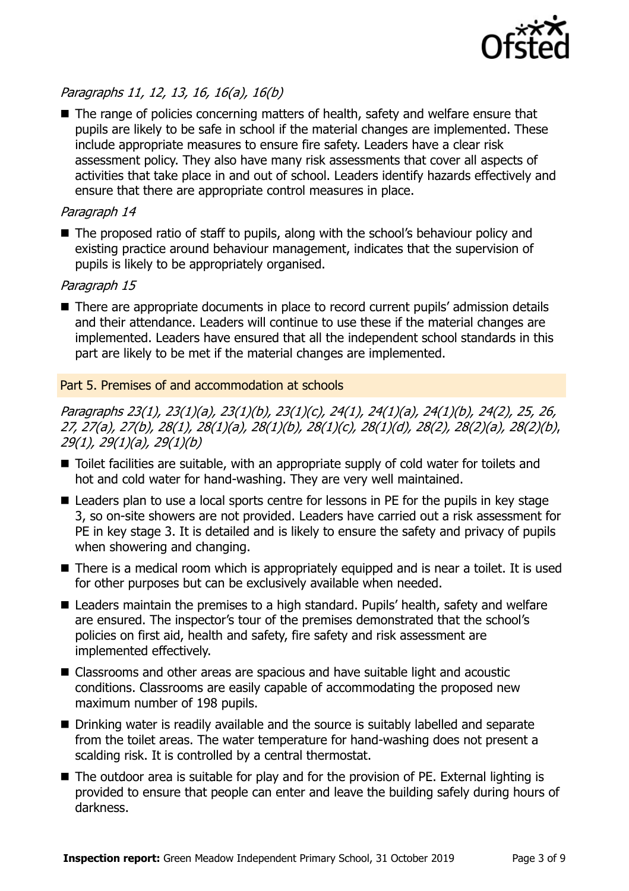

# Paragraphs 11, 12, 13, 16, 16(a), 16(b)

■ The range of policies concerning matters of health, safety and welfare ensure that pupils are likely to be safe in school if the material changes are implemented. These include appropriate measures to ensure fire safety. Leaders have a clear risk assessment policy. They also have many risk assessments that cover all aspects of activities that take place in and out of school. Leaders identify hazards effectively and ensure that there are appropriate control measures in place.

#### Paragraph 14

■ The proposed ratio of staff to pupils, along with the school's behaviour policy and existing practice around behaviour management, indicates that the supervision of pupils is likely to be appropriately organised.

#### Paragraph 15

■ There are appropriate documents in place to record current pupils' admission details and their attendance. Leaders will continue to use these if the material changes are implemented. Leaders have ensured that all the independent school standards in this part are likely to be met if the material changes are implemented.

#### Part 5. Premises of and accommodation at schools

Paragraphs 23(1), 23(1)(a), 23(1)(b), 23(1)(c), 24(1), 24(1)(a), 24(1)(b), 24(2), 25, 26, 27, 27(a), 27(b), 28(1), 28(1)(a), 28(1)(b), 28(1)(c), 28(1)(d), 28(2), 28(2)(a), 28(2)(b), 29(1), 29(1)(a), 29(1)(b)

- Toilet facilities are suitable, with an appropriate supply of cold water for toilets and hot and cold water for hand-washing. They are very well maintained.
- Leaders plan to use a local sports centre for lessons in PE for the pupils in key stage 3, so on-site showers are not provided. Leaders have carried out a risk assessment for PE in key stage 3. It is detailed and is likely to ensure the safety and privacy of pupils when showering and changing.
- There is a medical room which is appropriately equipped and is near a toilet. It is used for other purposes but can be exclusively available when needed.
- Leaders maintain the premises to a high standard. Pupils' health, safety and welfare are ensured. The inspector's tour of the premises demonstrated that the school's policies on first aid, health and safety, fire safety and risk assessment are implemented effectively.
- Classrooms and other areas are spacious and have suitable light and acoustic conditions. Classrooms are easily capable of accommodating the proposed new maximum number of 198 pupils.
- Drinking water is readily available and the source is suitably labelled and separate from the toilet areas. The water temperature for hand-washing does not present a scalding risk. It is controlled by a central thermostat.
- The outdoor area is suitable for play and for the provision of PE. External lighting is provided to ensure that people can enter and leave the building safely during hours of darkness.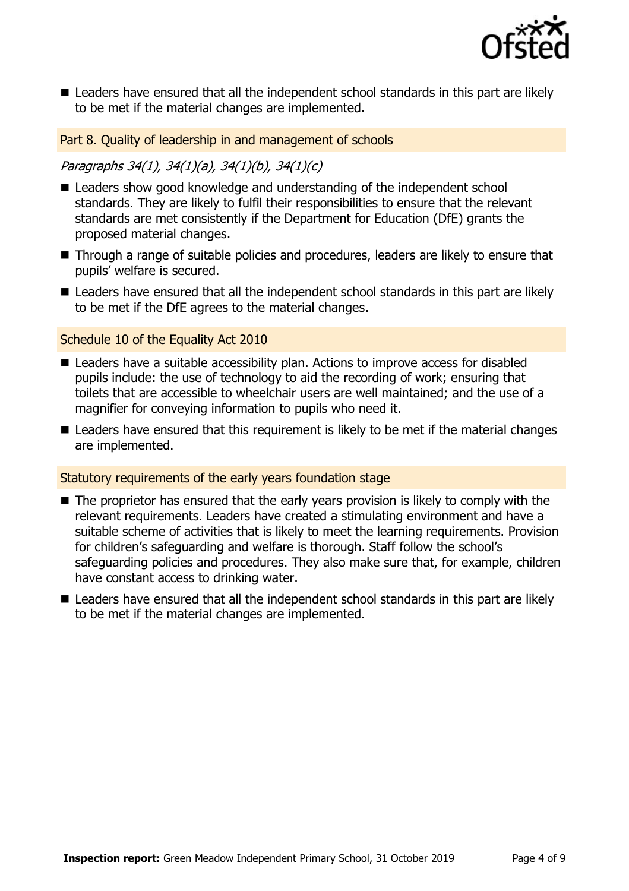

■ Leaders have ensured that all the independent school standards in this part are likely to be met if the material changes are implemented.

Part 8. Quality of leadership in and management of schools

## Paragraphs 34(1), 34(1)(a), 34(1)(b), 34(1)(c)

- Leaders show good knowledge and understanding of the independent school standards. They are likely to fulfil their responsibilities to ensure that the relevant standards are met consistently if the Department for Education (DfE) grants the proposed material changes.
- Through a range of suitable policies and procedures, leaders are likely to ensure that pupils' welfare is secured.
- Leaders have ensured that all the independent school standards in this part are likely to be met if the DfE agrees to the material changes.

#### Schedule 10 of the Equality Act 2010

- Leaders have a suitable accessibility plan. Actions to improve access for disabled pupils include: the use of technology to aid the recording of work; ensuring that toilets that are accessible to wheelchair users are well maintained; and the use of a magnifier for conveying information to pupils who need it.
- Leaders have ensured that this requirement is likely to be met if the material changes are implemented.

#### Statutory requirements of the early years foundation stage

- The proprietor has ensured that the early years provision is likely to comply with the relevant requirements. Leaders have created a stimulating environment and have a suitable scheme of activities that is likely to meet the learning requirements. Provision for children's safeguarding and welfare is thorough. Staff follow the school's safeguarding policies and procedures. They also make sure that, for example, children have constant access to drinking water.
- Leaders have ensured that all the independent school standards in this part are likely to be met if the material changes are implemented.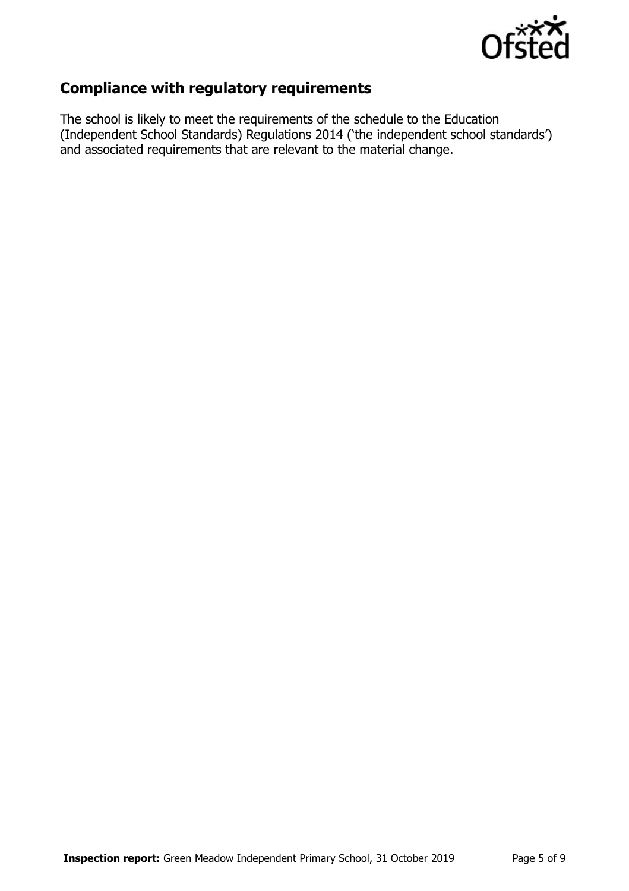

# **Compliance with regulatory requirements**

The school is likely to meet the requirements of the schedule to the Education (Independent School Standards) Regulations 2014 ('the independent school standards') and associated requirements that are relevant to the material change.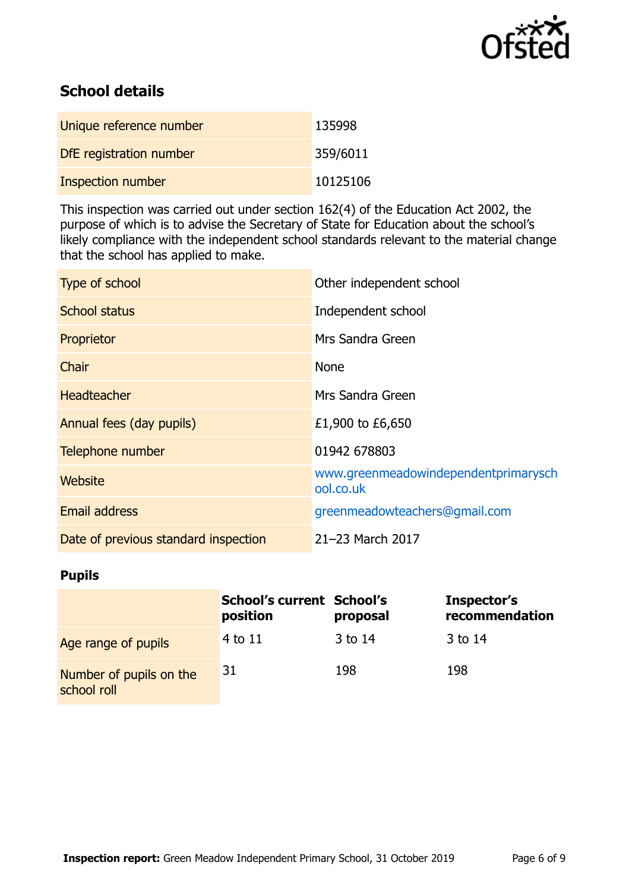

# **School details**

| Unique reference number  | 135998   |
|--------------------------|----------|
| DfE registration number  | 359/6011 |
| <b>Inspection number</b> | 10125106 |

This inspection was carried out under section 162(4) of the Education Act 2002, the purpose of which is to advise the Secretary of State for Education about the school's likely compliance with the independent school standards relevant to the material change that the school has applied to make.

| Type of school                       | Other independent school                          |
|--------------------------------------|---------------------------------------------------|
| School status                        | Independent school                                |
| Proprietor                           | Mrs Sandra Green                                  |
| Chair                                | <b>None</b>                                       |
| <b>Headteacher</b>                   | Mrs Sandra Green                                  |
| Annual fees (day pupils)             | £1,900 to £6,650                                  |
| Telephone number                     | 01942 678803                                      |
| <b>Website</b>                       | www.greenmeadowindependentprimarysch<br>ool.co.uk |
| <b>Email address</b>                 | greenmeadowteachers@gmail.com                     |
| Date of previous standard inspection | 21-23 March 2017                                  |

## **Pupils**

|                                        | <b>School's current School's</b><br>position | proposal | Inspector's<br>recommendation |
|----------------------------------------|----------------------------------------------|----------|-------------------------------|
| Age range of pupils                    | 4 to 11                                      | 3 to 14  | 3 to 14                       |
| Number of pupils on the<br>school roll | 31                                           | 198      | 198                           |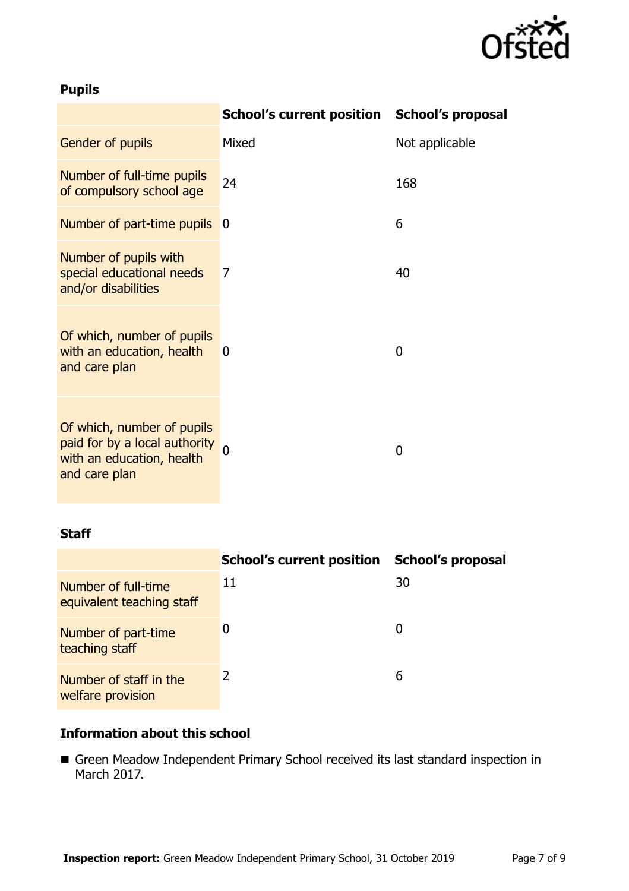

# **Pupils**

|                                                                                                           | School's current position School's proposal |                |
|-----------------------------------------------------------------------------------------------------------|---------------------------------------------|----------------|
| Gender of pupils                                                                                          | Mixed                                       | Not applicable |
| Number of full-time pupils<br>of compulsory school age                                                    | 24                                          | 168            |
| Number of part-time pupils                                                                                | 0                                           | 6              |
| Number of pupils with<br>special educational needs<br>and/or disabilities                                 | 7                                           | 40             |
| Of which, number of pupils<br>with an education, health<br>and care plan                                  | 0                                           | 0              |
| Of which, number of pupils<br>paid for by a local authority<br>with an education, health<br>and care plan |                                             | 0              |

#### **Staff**

|                                                  | <b>School's current position</b> | School's proposal |
|--------------------------------------------------|----------------------------------|-------------------|
| Number of full-time<br>equivalent teaching staff | 11                               | 30                |
| Number of part-time<br>teaching staff            | 0                                | 0                 |
| Number of staff in the<br>welfare provision      | 2                                | 6                 |

# **Information about this school**

 Green Meadow Independent Primary School received its last standard inspection in March 2017.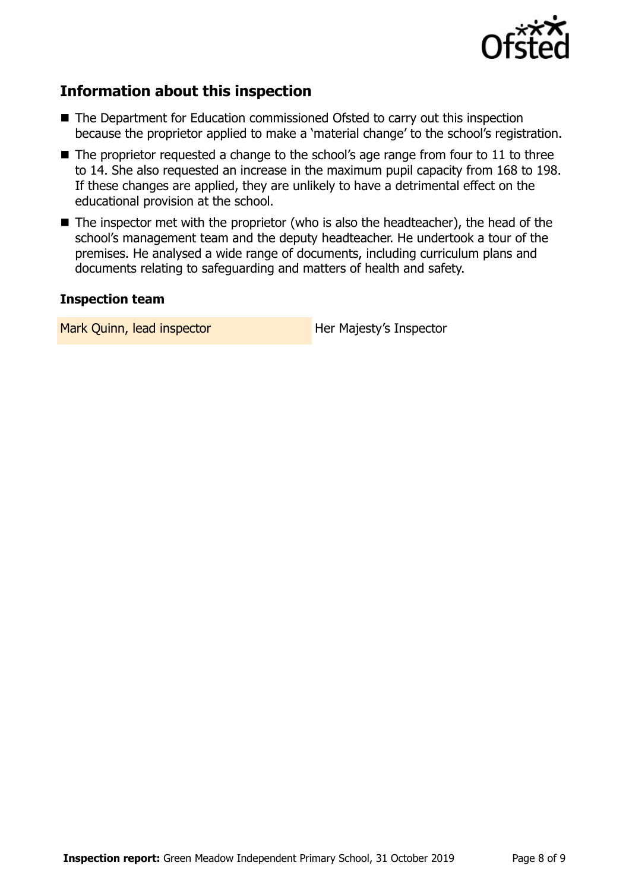

# **Information about this inspection**

- The Department for Education commissioned Ofsted to carry out this inspection because the proprietor applied to make a 'material change' to the school's registration.
- $\blacksquare$  The proprietor requested a change to the school's age range from four to 11 to three to 14. She also requested an increase in the maximum pupil capacity from 168 to 198. If these changes are applied, they are unlikely to have a detrimental effect on the educational provision at the school.
- The inspector met with the proprietor (who is also the headteacher), the head of the school's management team and the deputy headteacher. He undertook a tour of the premises. He analysed a wide range of documents, including curriculum plans and documents relating to safeguarding and matters of health and safety.

#### **Inspection team**

Mark Quinn, lead inspector **Her Majesty's Inspector**